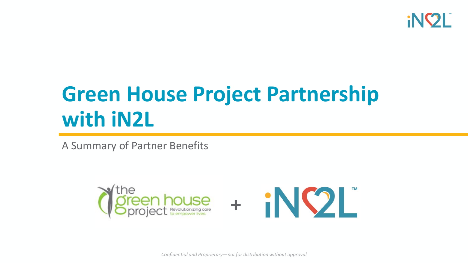

# **Green House Project Partnership with iN2L**

A Summary of Partner Benefits



*Confidential and Proprietary—not for distribution without approval*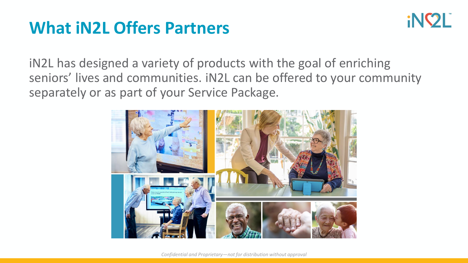#### **What iN2L Offers Partners**



iN2L has designed a variety of products with the goal of enriching seniors' lives and communities. iN2L can be offered to your community separately or as part of your Service Package.

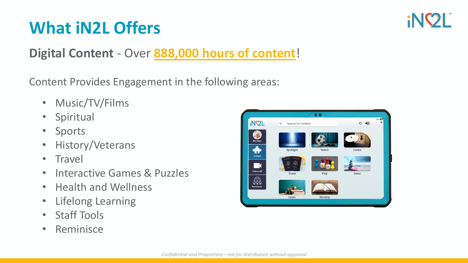#### *Confidential and Proprietary—not for distribution without approval*

## **What iN2L Offers**

#### **Digital Content** - Over **888,000 hours of content**!

Content Provides Engagement in the following areas:

- Music/TV/Films
- Spiritual
- Sports
- History/Veterans
- Travel
- Interactive Games & Puzzles
- Health and Wellness
- Lifelong Learning
- Staff Tools
- Reminisce



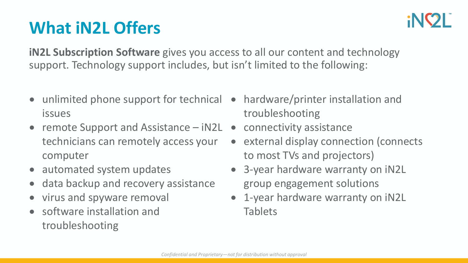#### *Confidential and Proprietary—not for distribution without approval*

## **What iN2L Offers**

**iN2L Subscription Software** gives you access to all our content and technology support. Technology support includes, but isn't limited to the following:

- unlimited phone support for technical **issues**
- remote Support and Assistance iN2L technicians can remotely access your computer
- automated system updates
- data backup and recovery assistance
- virus and spyware removal
- software installation and troubleshooting
- hardware/printer installation and troubleshooting
- connectivity assistance
- external display connection (connects to most TVs and projectors)
- 3-year hardware warranty on iN2L group engagement solutions
- 1-year hardware warranty on iN2L **Tablets**

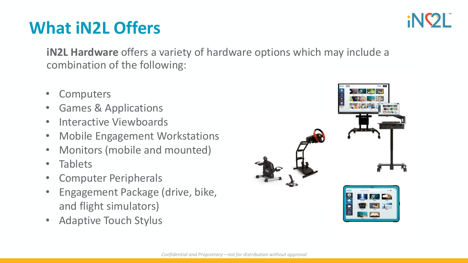#### *Confidential and Proprietary—not for distribution without approval*

## **What iN2L Offers**

**iN2L Hardware** offers a variety of hardware options which may include a combination of the following:

- Computers
- Games & Applications
- Interactive Viewboards
- Mobile Engagement Workstations
- Monitors (mobile and mounted)
- Tablets
- Computer Peripherals
- Engagement Package (drive, bike, and flight simulators)
- Adaptive Touch Stylus



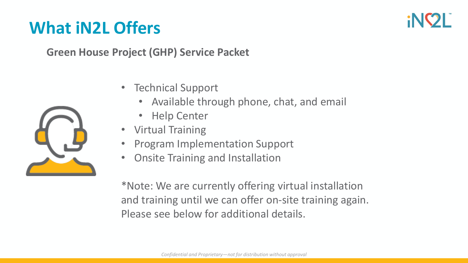#### **What iN2L Offers**



**Green House Project (GHP) Service Packet**

- Technical Support
	- Available through phone, chat, and email
	- Help Center
- Virtual Training
- Program Implementation Support
- Onsite Training and Installation

\*Note: We are currently offering virtual installation and training until we can offer on-site training again. Please see below for additional details.

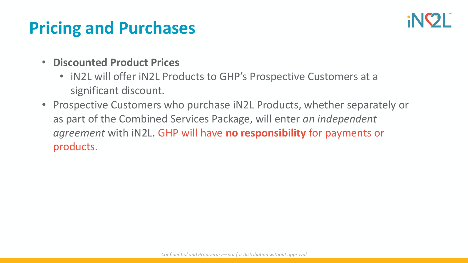## **Pricing and Purchases**



- **Discounted Product Prices**
	- iN2L will offer iN2L Products to GHP's Prospective Customers at a significant discount.
- Prospective Customers who purchase iN2L Products, whether separately or as part of the Combined Services Package, will enter *an independent agreement* with iN2L. GHP will have **no responsibility** for payments or products.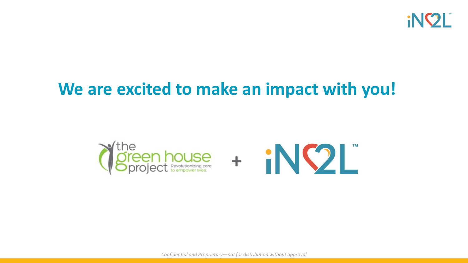

#### **We are excited to make an impact with you!**



*Confidential and Proprietary—not for distribution without approval*